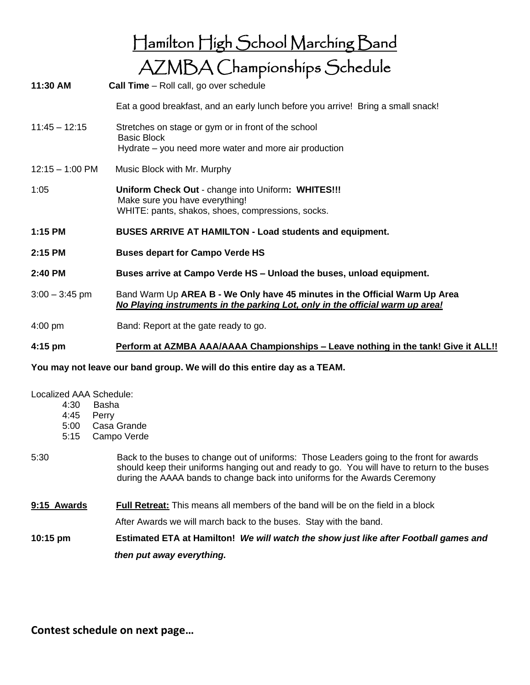|                   | Hamilton High School Marching Band                                                                                                                          |
|-------------------|-------------------------------------------------------------------------------------------------------------------------------------------------------------|
|                   | AZMBA Championships Schedule                                                                                                                                |
| 11:30 AM          | <b>Call Time</b> – Roll call, go over schedule                                                                                                              |
|                   | Eat a good breakfast, and an early lunch before you arrive! Bring a small snack!                                                                            |
| $11:45 - 12:15$   | Stretches on stage or gym or in front of the school                                                                                                         |
|                   | <b>Basic Block</b><br>Hydrate – you need more water and more air production                                                                                 |
| $12:15 - 1:00$ PM | Music Block with Mr. Murphy                                                                                                                                 |
| 1:05              | Uniform Check Out - change into Uniform: WHITES!!!<br>Make sure you have everything!<br>WHITE: pants, shakos, shoes, compressions, socks.                   |
| 1:15 PM           | <b>BUSES ARRIVE AT HAMILTON - Load students and equipment.</b>                                                                                              |
| 2:15 PM           | <b>Buses depart for Campo Verde HS</b>                                                                                                                      |
| 2:40 PM           | Buses arrive at Campo Verde HS - Unload the buses, unload equipment.                                                                                        |
| $3:00 - 3:45$ pm  | Band Warm Up AREA B - We Only have 45 minutes in the Official Warm Up Area<br>No Playing instruments in the parking Lot, only in the official warm up area! |
| $4:00 \text{ pm}$ | Band: Report at the gate ready to go.                                                                                                                       |

## **4:15 pm Perform at AZMBA AAA/AAAA Championships – Leave nothing in the tank! Give it ALL!!**

## **You may not leave our band group. We will do this entire day as a TEAM.**

## Localized AAA Schedule:

- 4:30 Basha
- 4:45 Perry
- 5:00 Casa Grande
- 5:15 Campo Verde
- 5:30 Back to the buses to change out of uniforms: Those Leaders going to the front for awards should keep their uniforms hanging out and ready to go. You will have to return to the buses during the AAAA bands to change back into uniforms for the Awards Ceremony
- **9:15 Awards Full Retreat:** This means all members of the band will be on the field in a block

After Awards we will march back to the buses. Stay with the band.

**10:15 pm Estimated ETA at Hamilton!** *We will watch the show just like after Football games and then put away everything.*

**Contest schedule on next page…**